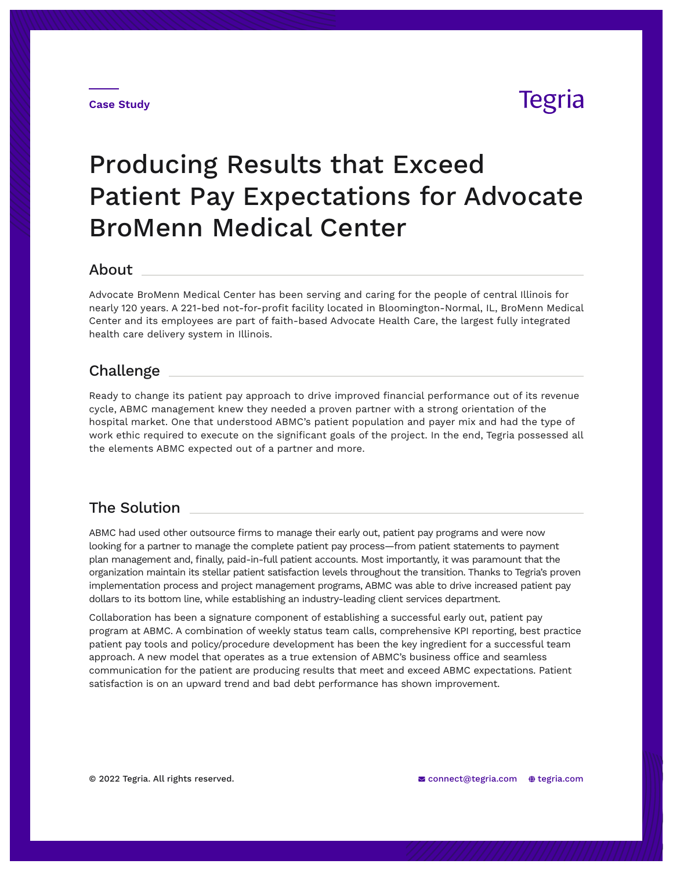#### **Case Study**

## **Tegria**

# Producing Results that Exceed Patient Pay Expectations for Advocate BroMenn Medical Center

#### About

Advocate BroMenn Medical Center has been serving and caring for the people of central Illinois for nearly 120 years. A 221-bed not-for-profit facility located in Bloomington-Normal, IL, BroMenn Medical Center and its employees are part of faith-based Advocate Health Care, the largest fully integrated health care delivery system in Illinois.

#### Challenge

Ready to change its patient pay approach to drive improved financial performance out of its revenue cycle, ABMC management knew they needed a proven partner with a strong orientation of the hospital market. One that understood ABMC's patient population and payer mix and had the type of work ethic required to execute on the significant goals of the project. In the end, Tegria possessed all the elements ABMC expected out of a partner and more.

### The Solution

ABMC had used other outsource firms to manage their early out, patient pay programs and were now looking for a partner to manage the complete patient pay process—from patient statements to payment plan management and, finally, paid-in-full patient accounts. Most importantly, it was paramount that the organization maintain its stellar patient satisfaction levels throughout the transition. Thanks to Tegria's proven implementation process and project management programs, ABMC was able to drive increased patient pay dollars to its bottom line, while establishing an industry-leading client services department.

Collaboration has been a signature component of establishing a successful early out, patient pay program at ABMC. A combination of weekly status team calls, comprehensive KPI reporting, best practice patient pay tools and policy/procedure development has been the key ingredient for a successful team approach. A new model that operates as a true extension of ABMC's business office and seamless communication for the patient are producing results that meet and exceed ABMC expectations. Patient satisfaction is on an upward trend and bad debt performance has shown improvement.